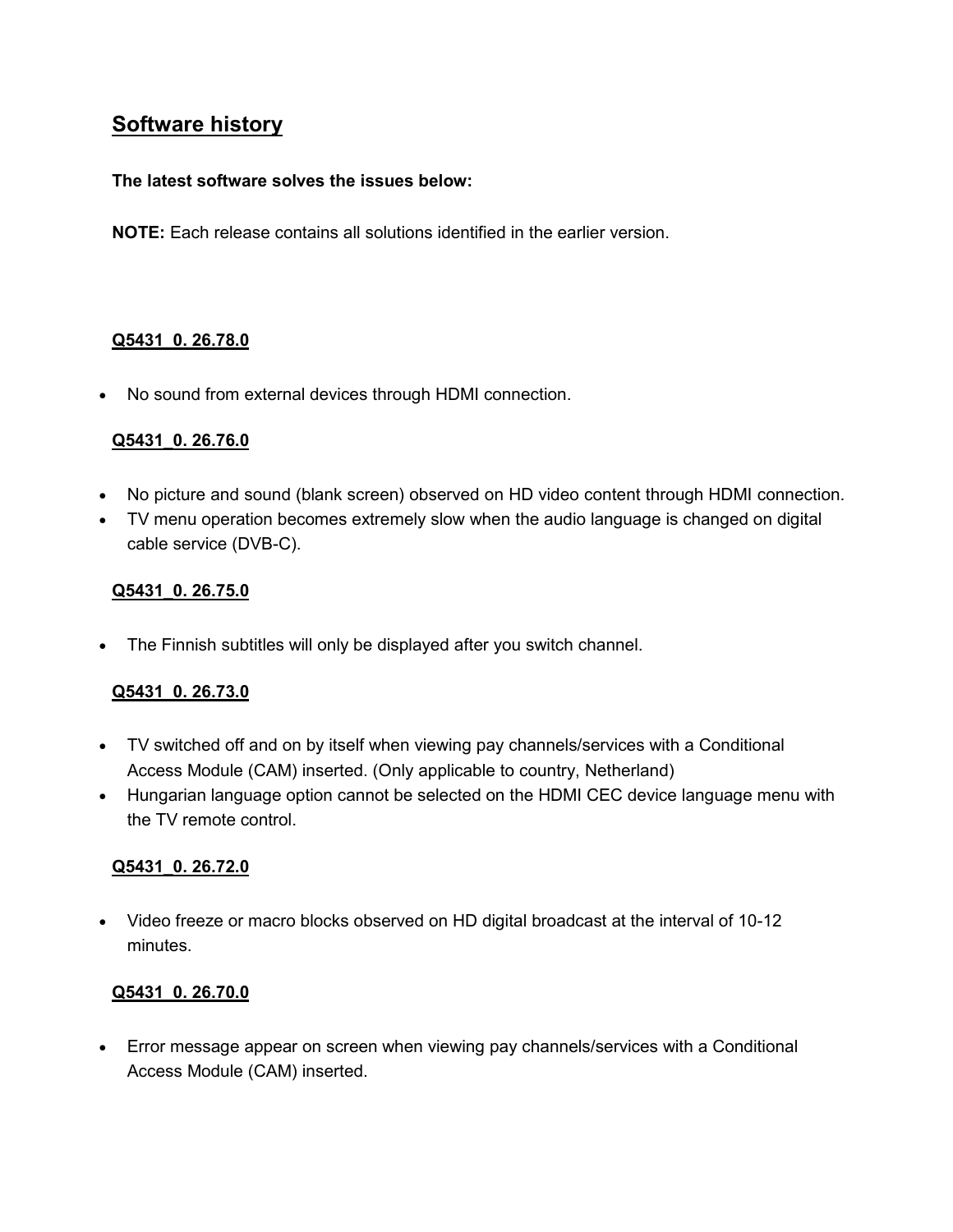# **Software history**

#### **The latest software solves the issues below:**

**NOTE:** Each release contains all solutions identified in the earlier version.

# **Q5431\_0. 26.78.0**

• No sound from external devices through HDMI connection.

#### **Q5431\_0. 26.76.0**

- No picture and sound (blank screen) observed on HD video content through HDMI connection.
- TV menu operation becomes extremely slow when the audio language is changed on digital cable service (DVB-C).

#### **Q5431\_0. 26.75.0**

• The Finnish subtitles will only be displayed after you switch channel.

# **Q5431\_0. 26.73.0**

- TV switched off and on by itself when viewing pay channels/services with a Conditional Access Module (CAM) inserted. (Only applicable to country, Netherland)
- Hungarian language option cannot be selected on the HDMI CEC device language menu with the TV remote control.

# **Q5431\_0. 26.72.0**

• Video freeze or macro blocks observed on HD digital broadcast at the interval of 10-12 minutes.

# **Q5431\_0. 26.70.0**

• Error message appear on screen when viewing pay channels/services with a Conditional Access Module (CAM) inserted.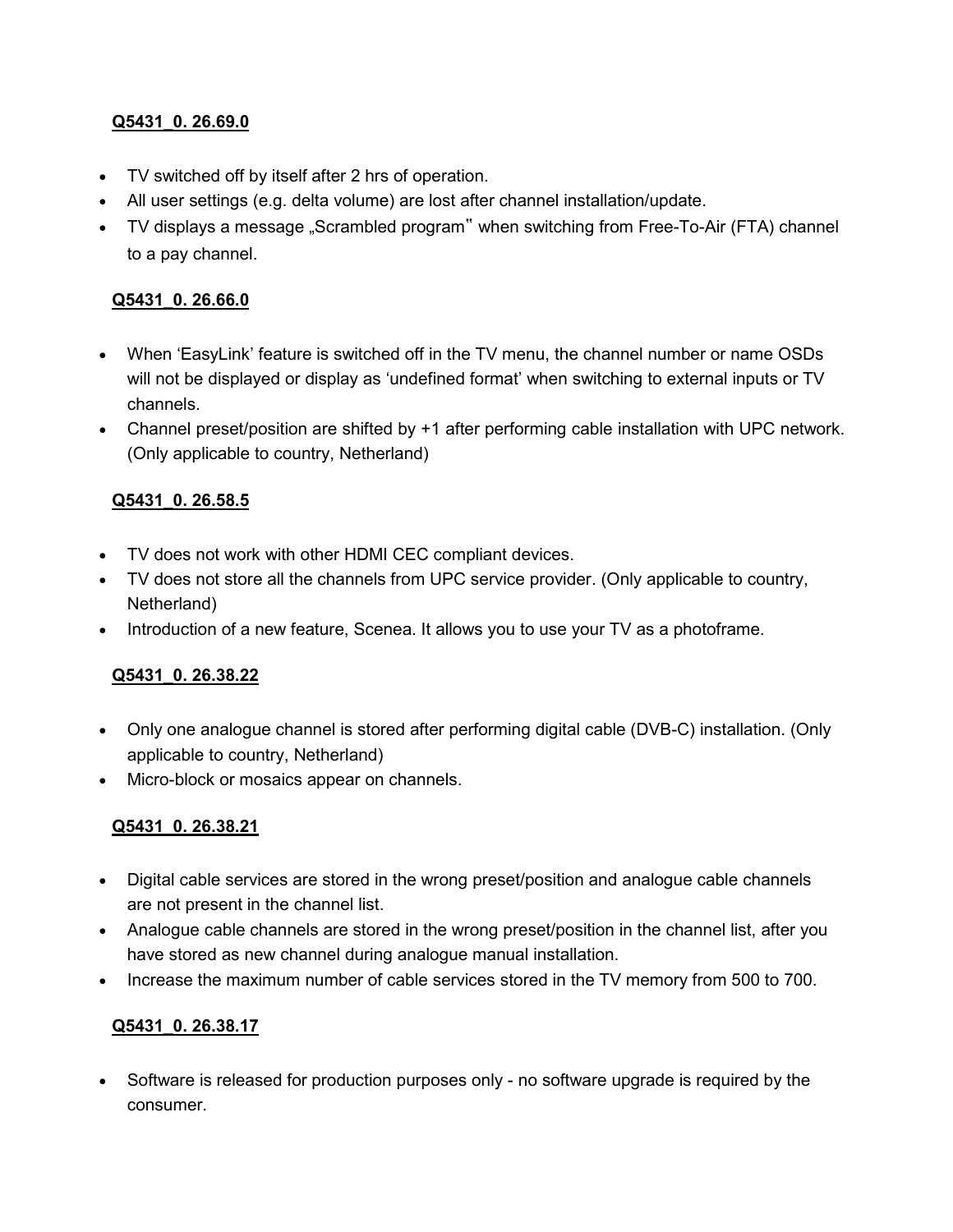# **Q5431\_0. 26.69.0**

- TV switched off by itself after 2 hrs of operation.
- All user settings (e.g. delta volume) are lost after channel installation/update.
- TV displays a message "Scrambled program" when switching from Free-To-Air (FTA) channel to a pay channel.

# **Q5431\_0. 26.66.0**

- When 'EasyLink' feature is switched off in the TV menu, the channel number or name OSDs will not be displayed or display as 'undefined format' when switching to external inputs or TV channels.
- Channel preset/position are shifted by +1 after performing cable installation with UPC network. (Only applicable to country, Netherland)

# **Q5431\_0. 26.58.5**

- TV does not work with other HDMI CEC compliant devices.
- TV does not store all the channels from UPC service provider. (Only applicable to country, Netherland)
- Introduction of a new feature, Scenea. It allows you to use your TV as a photoframe.

# **Q5431\_0. 26.38.22**

- Only one analogue channel is stored after performing digital cable (DVB-C) installation. (Only applicable to country, Netherland)
- Micro-block or mosaics appear on channels.

# **Q5431\_0. 26.38.21**

- Digital cable services are stored in the wrong preset/position and analogue cable channels are not present in the channel list.
- Analogue cable channels are stored in the wrong preset/position in the channel list, after you have stored as new channel during analogue manual installation.
- Increase the maximum number of cable services stored in the TV memory from 500 to 700.

# **Q5431\_0. 26.38.17**

• Software is released for production purposes only - no software upgrade is required by the consumer.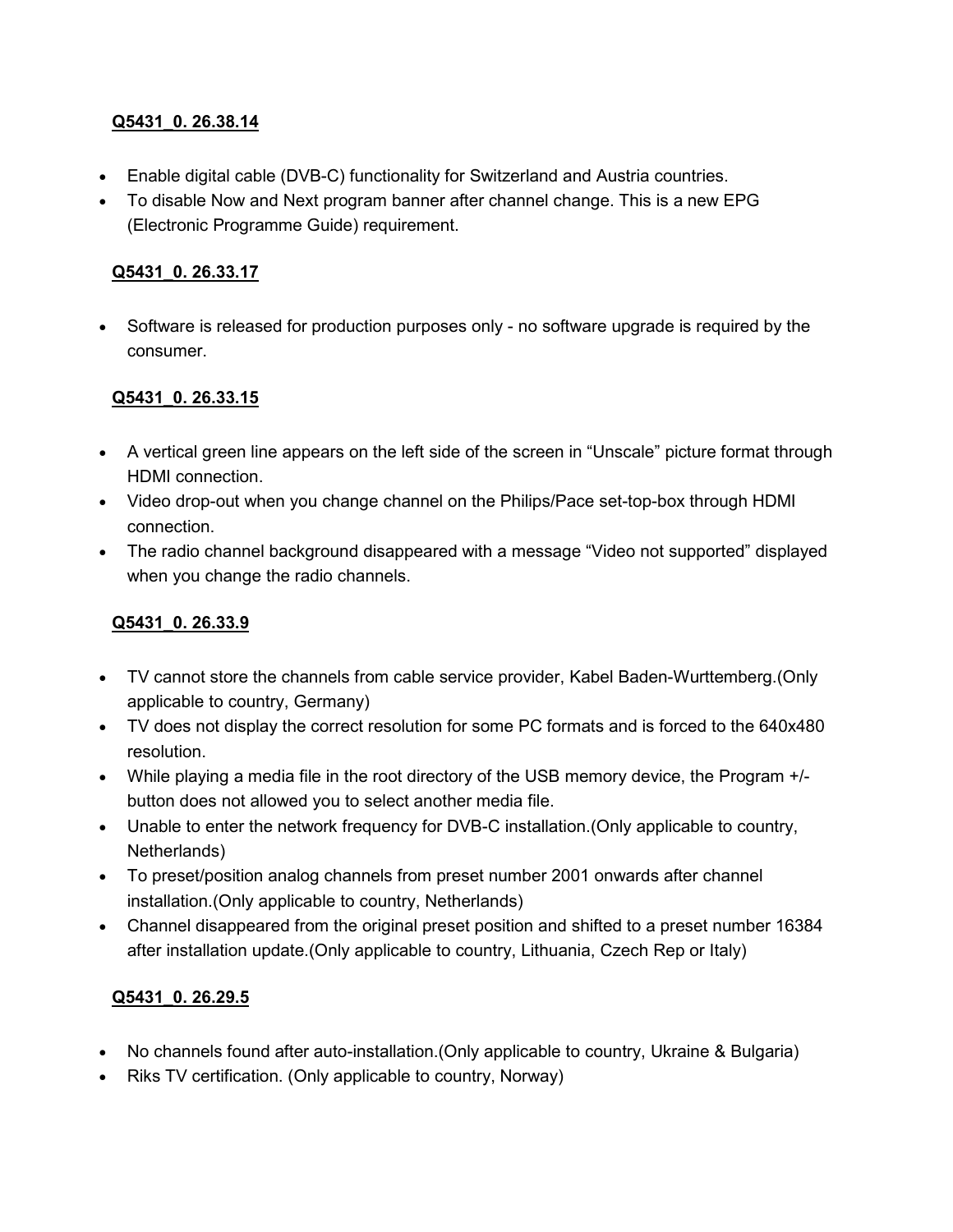## **Q5431\_0. 26.38.14**

- Enable digital cable (DVB-C) functionality for Switzerland and Austria countries.
- To disable Now and Next program banner after channel change. This is a new EPG (Electronic Programme Guide) requirement.

#### **Q5431\_0. 26.33.17**

• Software is released for production purposes only - no software upgrade is required by the consumer.

#### **Q5431\_0. 26.33.15**

- A vertical green line appears on the left side of the screen in "Unscale" picture format through HDMI connection.
- Video drop-out when you change channel on the Philips/Pace set-top-box through HDMI connection.
- The radio channel background disappeared with a message "Video not supported" displayed when you change the radio channels.

# **Q5431\_0. 26.33.9**

- TV cannot store the channels from cable service provider, Kabel Baden-Wurttemberg.(Only applicable to country, Germany)
- TV does not display the correct resolution for some PC formats and is forced to the 640x480 resolution.
- While playing a media file in the root directory of the USB memory device, the Program +/ button does not allowed you to select another media file.
- Unable to enter the network frequency for DVB-C installation.(Only applicable to country, Netherlands)
- To preset/position analog channels from preset number 2001 onwards after channel installation.(Only applicable to country, Netherlands)
- Channel disappeared from the original preset position and shifted to a preset number 16384 after installation update.(Only applicable to country, Lithuania, Czech Rep or Italy)

# **Q5431\_0. 26.29.5**

- No channels found after auto-installation.(Only applicable to country, Ukraine & Bulgaria)
- Riks TV certification. (Only applicable to country, Norway)